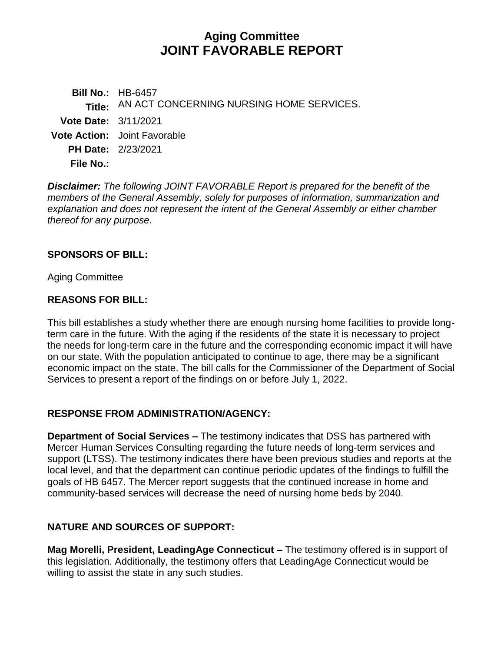# **Aging Committee JOINT FAVORABLE REPORT**

**Bill No.:** HB-6457 **Title:** AN ACT CONCERNING NURSING HOME SERVICES. **Vote Date:** 3/11/2021 **Vote Action:** Joint Favorable **PH Date:** 2/23/2021 **File No.:**

*Disclaimer: The following JOINT FAVORABLE Report is prepared for the benefit of the members of the General Assembly, solely for purposes of information, summarization and explanation and does not represent the intent of the General Assembly or either chamber thereof for any purpose.*

#### **SPONSORS OF BILL:**

Aging Committee

#### **REASONS FOR BILL:**

This bill establishes a study whether there are enough nursing home facilities to provide longterm care in the future. With the aging if the residents of the state it is necessary to project the needs for long-term care in the future and the corresponding economic impact it will have on our state. With the population anticipated to continue to age, there may be a significant economic impact on the state. The bill calls for the Commissioner of the Department of Social Services to present a report of the findings on or before July 1, 2022.

## **RESPONSE FROM ADMINISTRATION/AGENCY:**

**Department of Social Services –** The testimony indicates that DSS has partnered with Mercer Human Services Consulting regarding the future needs of long-term services and support (LTSS). The testimony indicates there have been previous studies and reports at the local level, and that the department can continue periodic updates of the findings to fulfill the goals of HB 6457. The Mercer report suggests that the continued increase in home and community-based services will decrease the need of nursing home beds by 2040.

## **NATURE AND SOURCES OF SUPPORT:**

**Mag Morelli, President, LeadingAge Connecticut –** The testimony offered is in support of this legislation. Additionally, the testimony offers that LeadingAge Connecticut would be willing to assist the state in any such studies.